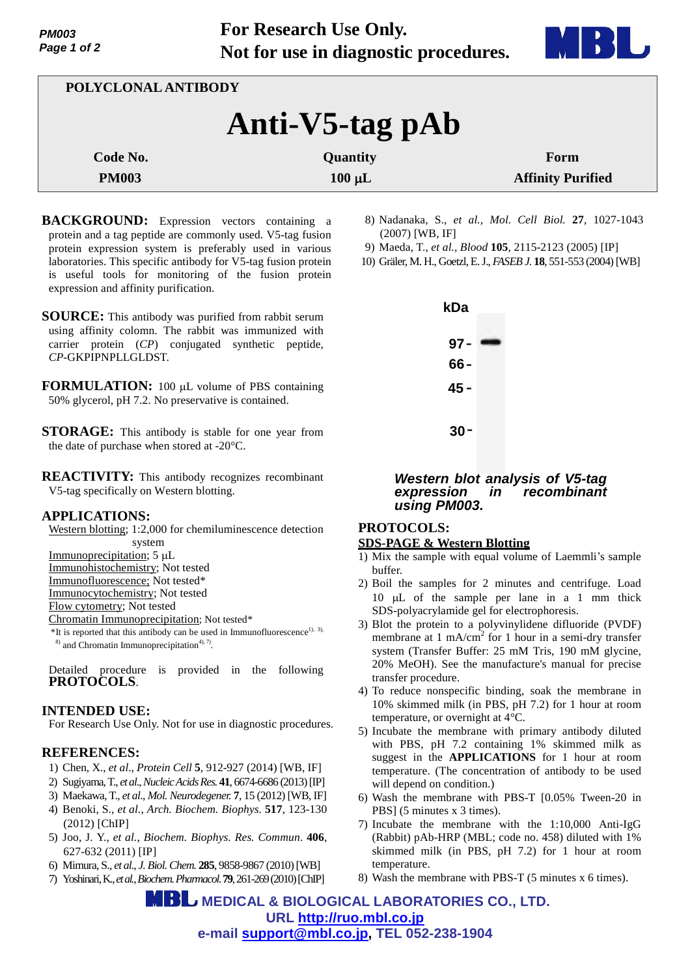

| POLYCLONAL ANTIBODY |             |                          |  |
|---------------------|-------------|--------------------------|--|
| Anti-V5-tag pAb     |             |                          |  |
| Code No.            | Quantity    | Form                     |  |
| <b>PM003</b>        | $100 \mu L$ | <b>Affinity Purified</b> |  |
|                     |             |                          |  |

- **BACKGROUND:** Expression vectors containing a protein and a tag peptide are commonly used. V5-tag fusion protein expression system is preferably used in various laboratories. This specific antibody for V5-tag fusion protein is useful tools for monitoring of the fusion protein expression and affinity purification.
- **SOURCE:** This antibody was purified from rabbit serum using affinity colomn. The rabbit was immunized with carrier protein (*CP*) conjugated synthetic peptide, *CP*-GKPIPNPLLGLDST.
- **FORMULATION:** 100 µL volume of PBS containing 50% glycerol, pH 7.2. No preservative is contained.
- **STORAGE:** This antibody is stable for one year from the date of purchase when stored at -20°C.
- **REACTIVITY:** This antibody recognizes recombinant V5-tag specifically on Western blotting.

# **APPLICATIONS:**

Western blotting; 1:2,000 for chemiluminescence detection

system Immunoprecipitation;  $5 \mu L$ 

Immunohistochemistry; Not tested

Immunofluorescence; Not tested\*

Immunocytochemistry; Not tested

Flow cytometry; Not tested

Chromatin Immunoprecipitation; Not tested\*

 $*$ It is reported that this antibody can be used in Immunofluorescence<sup>1), 3),</sup>  $^{8)}$  and Chromatin Immunoprecipitation<sup>4), 7</sup>.

Detailed procedure is provided in the following **PROTOCOLS**.

# **INTENDED USE:**

For Research Use Only. Not for use in diagnostic procedures.

# **REFERENCES:**

- 1) Chen, X., *et al*., *Protein Cell* **5**, 912-927 (2014) [WB, IF]
- 2) Sugiyama, T., *et al*., *Nucleic Acids Res.* **41**, 6674-6686 (2013) [IP]
- 3) Maekawa, T., *et al*., *Mol. Neurodegener.* **7**, 15 (2012) [WB, IF]
- 4) Benoki, S., *et al.*, *Arch. Biochem. Biophys.* **517**, 123-130 (2012) [ChIP]
- 5) Joo, J. Y., *et al.*, *Biochem. Biophys. Res. Commun*. **406**, 627-632 (2011) [IP]
- 6) Mimura, S., *et al.*, *J.Biol.Chem.* **285**, 9858-9867 (2010)[WB]
- 7) Yoshinari,K.,*et al.*,*Biochem.Pharmacol*. **79**, 261-269 (2010)[ChIP]
- 8) Nadanaka, S., *et al., Mol. Cell Biol.* **27**, 1027-1043 (2007) [WB, IF]
- 9) Maeda, T., *et al., Blood* **105**, 2115-2123 (2005) [IP]
- 10) Gräler, M. H., Goetzl,E.J., *FASEB J.* **18**, 551-553 (2004)[WB]



## *Western blot analysis of V5-tag expression in recombinant using PM003.*

# **PROTOCOLS:**

## **SDS-PAGE & Western Blotting**

- 1) Mix the sample with equal volume of Laemmli's sample buffer.
- 2) Boil the samples for 2 minutes and centrifuge. Load 10  $\mu$ L of the sample per lane in a 1 mm thick SDS-polyacrylamide gel for electrophoresis.
- 3) Blot the protein to a polyvinylidene difluoride (PVDF) membrane at 1 mA/cm<sup>2</sup> for 1 hour in a semi-dry transfer system (Transfer Buffer: 25 mM Tris, 190 mM glycine, 20% MeOH). See the manufacture's manual for precise transfer procedure.
- 4) To reduce nonspecific binding, soak the membrane in 10% skimmed milk (in PBS, pH 7.2) for 1 hour at room temperature, or overnight at 4°C.
- 5) Incubate the membrane with primary antibody diluted with PBS, pH 7.2 containing 1% skimmed milk as suggest in the **APPLICATIONS** for 1 hour at room temperature. (The concentration of antibody to be used will depend on condition.)
- 6) Wash the membrane with PBS-T [0.05% Tween-20 in PBS] (5 minutes x 3 times).
- 7) Incubate the membrane with the 1:10,000 Anti-IgG (Rabbit) pAb-HRP (MBL; code no. 458) diluted with 1% skimmed milk (in PBS, pH 7.2) for 1 hour at room temperature.
- 8) Wash the membrane with PBS-T (5 minutes x 6 times).

 **MEDICAL & BIOLOGICAL LABORATORIES CO., LTD. URL <http://ruo.mbl.co.jp> e-mail [support@mbl.co.jp,](mailto:support@mbl.co.jp) TEL 052-238-1904**